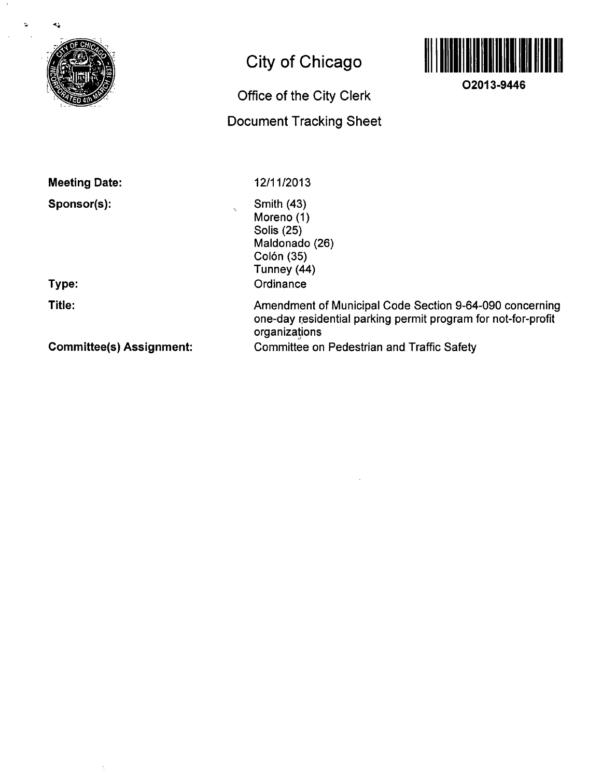

ć,

Ò

## **City of Chicago**

# **Office of the City Clerk**

### **Document Tracking Sheet**



**02013-9446** 

**Meeting Date:** 

**Sponsor(s):** 

12/11/2013

Smith (43) Moreno (1) Solis (25) Maldonado (26) Colón (35) Tunney (44) **Ordinance** 

**Type:** 

**Title:** 

**Committee(s) Assignment:** 

Amendment of Municipal Code Section 9-64-090 concerning one-day residential parking permit program for not-for-profit organizations Committee on Pedestrian and Traffic Safety